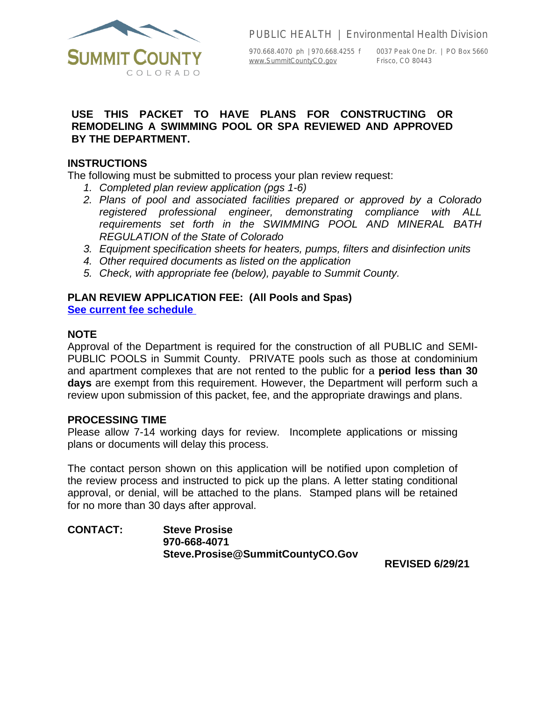

PUBLIC HEALTH | Environmental Health Division

[www.SummitCountyCO.gov](http://www.SummitCountyCO.gov) Frisco, CO 80443

970.668.4070 ph | 970.668.4255 f 0037 Peak One Dr. | PO Box 5660

## **USE THIS PACKET TO HAVE PLANS FOR CONSTRUCTING OR REMODELING A SWIMMING POOL OR SPA REVIEWED AND APPROVED BY THE DEPARTMENT.**

## **INSTRUCTIONS**

The following must be submitted to process your plan review request:

- *1. Completed plan review application (pgs 1-6)*
- *2. Plans of pool and associated facilities prepared or approved by a Colorado registered professional engineer, demonstrating compliance with ALL requirements set forth in the SWIMMING POOL AND MINERAL BATH REGULATION of the State of Colorado*
- *3. Equipment specification sheets for heaters, pumps, filters and disinfection units*
- *4. Other required documents as listed on the application*
- *5. Check, with appropriate fee (below), payable to Summit County.*

# **PLAN REVIEW APPLICATION FEE:****(All Pools and Spas)**

**[See current fee schedule](https://www.summitcountyco.gov/DocumentCenter/View/32376/Fee-Schedule-Effective-3152022-Final)** 

## **NOTE**

Approval of the Department is required for the construction of all PUBLIC and SEMI-PUBLIC POOLS in Summit County. PRIVATE pools such as those at condominium and apartment complexes that are not rented to the public for a **period less than 30 days** are exempt from this requirement. However, the Department will perform such a review upon submission of this packet, fee, and the appropriate drawings and plans.

### **PROCESSING TIME**

Please allow 7-14 working days for review. Incomplete applications or missing plans or documents will delay this process.

The contact person shown on this application will be notified upon completion of the review process and instructed to pick up the plans. A letter stating conditional approval, or denial, will be attached to the plans. Stamped plans will be retained for no more than 30 days after approval.

**CONTACT: Steve Prosise 970-668-4071 Steve.Prosise@SummitCountyCO.Gov**

**REVISED 6/29/21**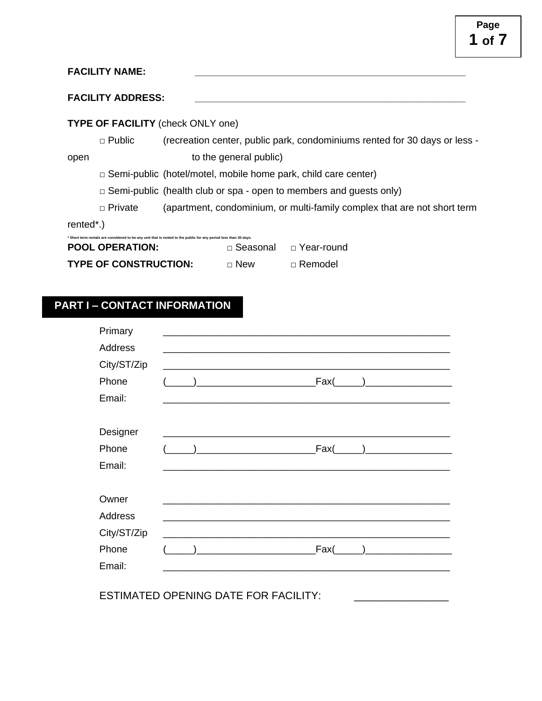| <b>FACILITY NAME:</b> |  |
|-----------------------|--|
|                       |  |

### **FACILITY ADDRESS: \_\_\_\_\_\_\_\_\_\_\_\_\_\_\_\_\_\_\_\_\_\_\_\_\_\_\_\_\_\_\_\_\_\_\_\_\_\_\_\_\_\_\_\_\_\_\_\_\_\_**

## **TYPE OF FACILITY** (check ONLY one)

□ Public (recreation center, public park, condominiums rented for 30 days or less open to the general public)

□ Semi-public (hotel/motel, mobile home park, child care center)

□ Semi-public (health club or spa - open to members and guests only)

□ Private (apartment, condominium, or multi-family complex that are not short term

rented\*.)

| * Short term rentals are considered to be any unit that is rented to the public for any period less than 30 days. |  |
|-------------------------------------------------------------------------------------------------------------------|--|
|                                                                                                                   |  |

| <b>POOL OPERATION:</b>       | ⊟ Seasonal | ⊟ Year-round     |
|------------------------------|------------|------------------|
| <b>TYPE OF CONSTRUCTION:</b> | ⊓ New      | $\sqcap$ Remodel |

# **PART I – CONTACT INFORMATION**

| Primary     |                                                                   |  |
|-------------|-------------------------------------------------------------------|--|
| Address     |                                                                   |  |
| City/ST/Zip | <u> 1980 - Johann John Stone, mars eta biztanleria (h. 1980).</u> |  |
| Phone       |                                                                   |  |
| Email:      |                                                                   |  |
|             |                                                                   |  |
| Designer    |                                                                   |  |
| Phone       |                                                                   |  |
| Email:      |                                                                   |  |
|             |                                                                   |  |
| Owner       |                                                                   |  |
| Address     |                                                                   |  |
| City/ST/Zip |                                                                   |  |
| Phone       |                                                                   |  |
| Email:      |                                                                   |  |
|             |                                                                   |  |
|             | <b>ESTIMATED OPENING DATE FOR FACILITY:</b>                       |  |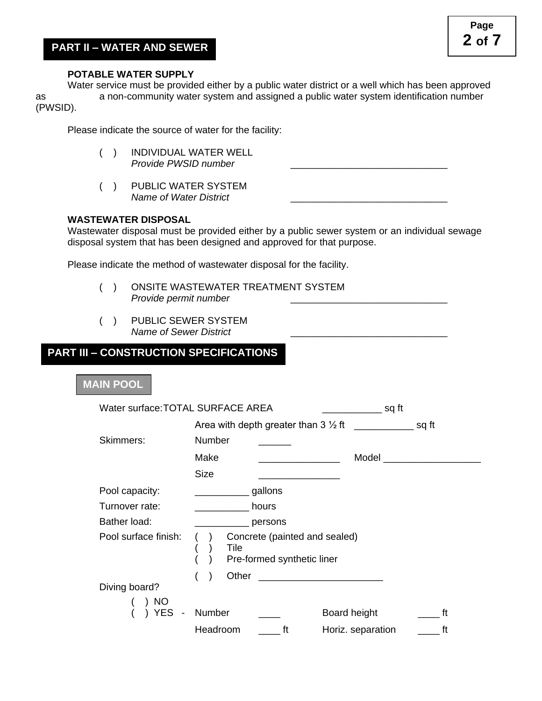### **POTABLE WATER SUPPLY**

Water service must be provided either by a public water district or a well which has been approved as a non-community water system and assigned a public water system identification number (PWSID).

Please indicate the source of water for the facility:

- ( ) INDIVIDUAL WATER WELL *Provide PWSID number*
- ( ) PUBLIC WATER SYSTEM *Name of Water District* \_\_\_\_\_\_\_\_\_\_\_\_\_\_\_\_\_\_\_\_\_\_\_\_\_\_\_\_\_

## **WASTEWATER DISPOSAL**

Wastewater disposal must be provided either by a public sewer system or an individual sewage disposal system that has been designed and approved for that purpose.

Please indicate the method of wastewater disposal for the facility.

- ( ) ONSITE WASTEWATER TREATMENT SYSTEM *Provide permit number* \_\_\_\_\_\_\_\_\_\_\_\_\_\_\_\_\_\_\_\_\_\_\_\_\_\_\_\_\_
- ( ) PUBLIC SEWER SYSTEM *Name of Sewer District* \_\_\_\_\_\_\_\_\_\_\_\_\_\_\_\_\_\_\_\_\_\_\_\_\_\_\_\_\_

# **PART III – CONSTRUCTION SPECIFICATIONS**

### **MAIN POOL**

| Water surface: TOTAL SURFACE AREA |                                                                     | ___________ sq ft       |
|-----------------------------------|---------------------------------------------------------------------|-------------------------|
|                                   |                                                                     |                         |
| Skimmers:                         | Number                                                              |                         |
|                                   | Make                                                                | Model                   |
|                                   | <b>Size</b>                                                         |                         |
| Pool capacity:                    | gallons                                                             |                         |
| Turnover rate:                    | hours                                                               |                         |
| Bather load:                      | persons                                                             |                         |
| Pool surface finish:              | Concrete (painted and sealed)<br>Tile<br>Pre-formed synthetic liner |                         |
|                                   |                                                                     |                         |
| Diving board?<br>) NO             |                                                                     |                         |
| YES.                              | Number                                                              | Board height<br>ft      |
|                                   | Headroom<br>ft                                                      | ft<br>Horiz. separation |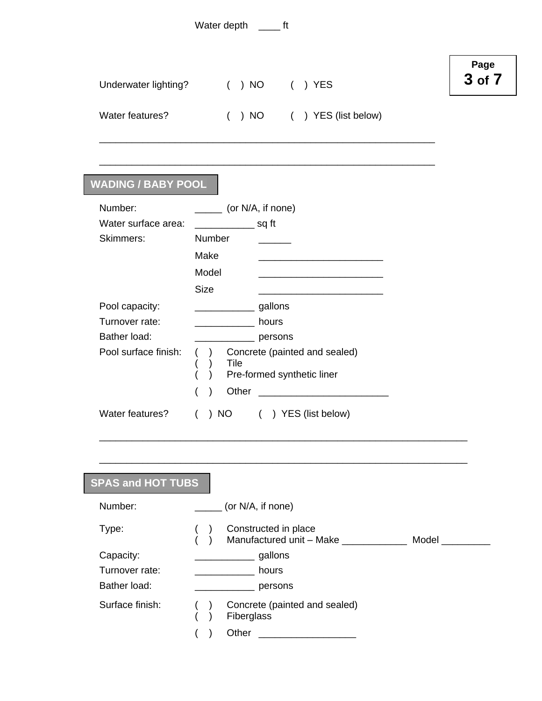| Water depth |  |
|-------------|--|
|-------------|--|

| Underwater lighting? | ( ) NO | ( )YES |
|----------------------|--------|--------|
|                      |        |        |

Water features? ( ) NO ( ) YES (list below)

\_\_\_\_\_\_\_\_\_\_\_\_\_\_\_\_\_\_\_\_\_\_\_\_\_\_\_\_\_\_\_\_\_\_\_\_\_\_\_\_\_\_\_\_\_\_\_\_\_\_\_\_\_\_\_\_\_\_\_\_\_\_

\_\_\_\_\_\_\_\_\_\_\_\_\_\_\_\_\_\_\_\_\_\_\_\_\_\_\_\_\_\_\_\_\_\_\_\_\_\_\_\_\_\_\_\_\_\_\_\_\_\_\_\_\_\_\_\_\_\_\_\_\_\_

# **WADING / BABY POOL**

| Number:              | (or N/A, if none) |                                                             |  |  |
|----------------------|-------------------|-------------------------------------------------------------|--|--|
| Water surface area:  |                   | sq ft                                                       |  |  |
| Skimmers:            | Number            |                                                             |  |  |
|                      | Make              |                                                             |  |  |
|                      | Model             |                                                             |  |  |
|                      | Size              |                                                             |  |  |
| Pool capacity:       |                   | gallons                                                     |  |  |
| Turnover rate:       |                   | hours                                                       |  |  |
| Bather load:         |                   | persons                                                     |  |  |
| Pool surface finish: | Tile              | Concrete (painted and sealed)<br>Pre-formed synthetic liner |  |  |
|                      | Other<br>)        |                                                             |  |  |
| Water features?      | NO.               | YES (list below)                                            |  |  |

| <b>SPAS and HOT TUBS</b>                    |                                                           |
|---------------------------------------------|-----------------------------------------------------------|
| Number:                                     | (or N/A, if none)                                         |
| Type:                                       | Constructed in place<br>Manufactured unit - Make<br>Model |
| Capacity:<br>Turnover rate:<br>Bather load: | gallons<br>hours<br>persons                               |
| Surface finish:                             | Concrete (painted and sealed)<br>Fiberglass               |
|                                             | Other                                                     |

\_\_\_\_\_\_\_\_\_\_\_\_\_\_\_\_\_\_\_\_\_\_\_\_\_\_\_\_\_\_\_\_\_\_\_\_\_\_\_\_\_\_\_\_\_\_\_\_\_\_\_\_\_\_\_\_\_\_\_\_\_\_\_\_\_\_\_\_

# **Page 3 of 7**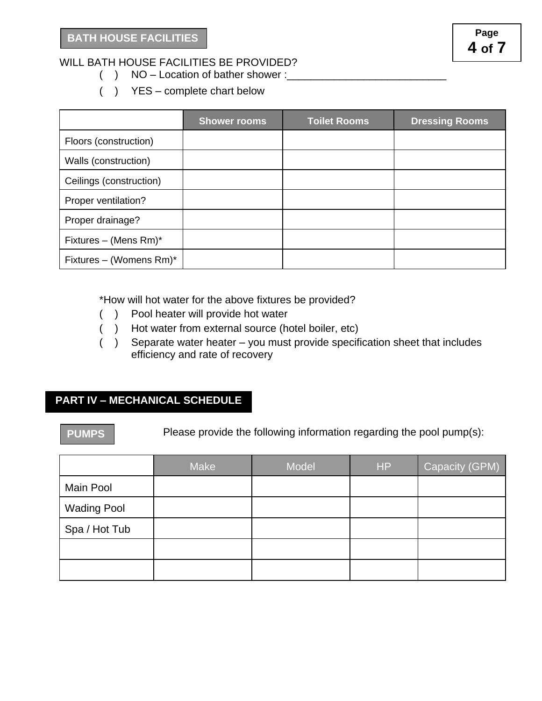# WILL BATH HOUSE FACILITIES BE PROVIDED?

- $($  ) NO Location of bather shower :
- ( ) YES complete chart below

|                          | <b>Shower rooms</b> | <b>Toilet Rooms</b> | <b>Dressing Rooms</b> |
|--------------------------|---------------------|---------------------|-----------------------|
| Floors (construction)    |                     |                     |                       |
| Walls (construction)     |                     |                     |                       |
| Ceilings (construction)  |                     |                     |                       |
| Proper ventilation?      |                     |                     |                       |
| Proper drainage?         |                     |                     |                       |
| Fixtures – (Mens $Rm$ )* |                     |                     |                       |
| Fixtures - (Womens Rm)*  |                     |                     |                       |

\*How will hot water for the above fixtures be provided?

- ( ) Pool heater will provide hot water
- ( ) Hot water from external source (hotel boiler, etc)
- ( ) Separate water heater you must provide specification sheet that includes efficiency and rate of recovery

# **PART IV – MECHANICAL SCHEDULE**

**PUMPS**

Please provide the following information regarding the pool pump(s):

|                    | <b>Make</b> | Model | <b>HP</b> | Capacity (GPM) |
|--------------------|-------------|-------|-----------|----------------|
| Main Pool          |             |       |           |                |
| <b>Wading Pool</b> |             |       |           |                |
| Spa / Hot Tub      |             |       |           |                |
|                    |             |       |           |                |
|                    |             |       |           |                |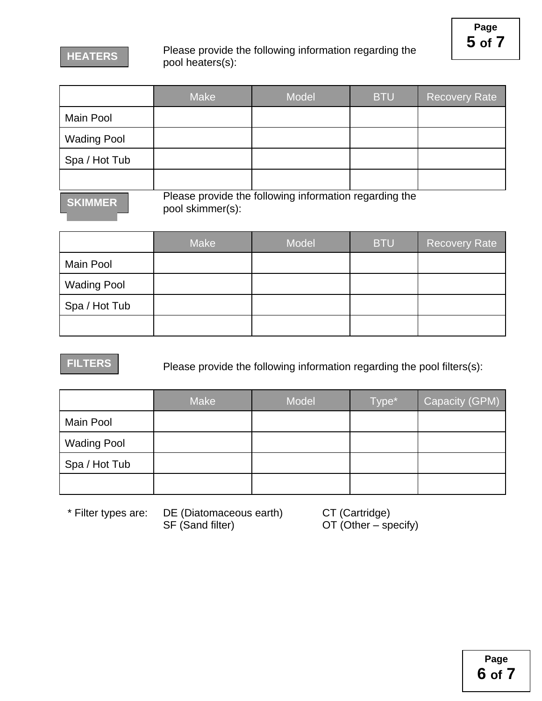# Please provide the following information regarding the pool heaters(s):

|                                                                                             | <b>Make</b> | <b>Model</b> | <b>BTU</b> | Recovery Rate |
|---------------------------------------------------------------------------------------------|-------------|--------------|------------|---------------|
| Main Pool                                                                                   |             |              |            |               |
| <b>Wading Pool</b>                                                                          |             |              |            |               |
| Spa / Hot Tub                                                                               |             |              |            |               |
|                                                                                             |             |              |            |               |
| Please provide the following information regarding the<br><b>KIMMER</b><br>nool okimmor(a). |             |              |            |               |

pool skimmer(s):

|                    | Make | Model | <b>BTU</b> | <b>Recovery Rate</b> |
|--------------------|------|-------|------------|----------------------|
| Main Pool          |      |       |            |                      |
| <b>Wading Pool</b> |      |       |            |                      |
| Spa / Hot Tub      |      |       |            |                      |
|                    |      |       |            |                      |

# **FILTERS**

Please provide the following information regarding the pool filters(s):

|                    | <b>Make</b> | Model | Type* | Capacity (GPM) |
|--------------------|-------------|-------|-------|----------------|
| Main Pool          |             |       |       |                |
| <b>Wading Pool</b> |             |       |       |                |
| Spa / Hot Tub      |             |       |       |                |
|                    |             |       |       |                |

\* Filter types are: DE (Diatomaceous earth) CT (Cartridge) SF (Sand filter) OT (Other – specify)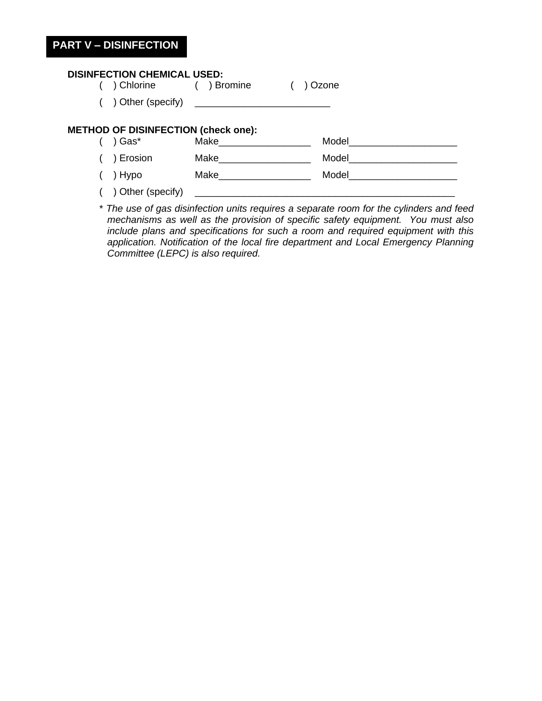# **PART V – DISINFECTION**

## **DISINFECTION CHEMICAL USED:**

- ( ) Chlorine ( ) Bromine ( ) Ozone
- $($   $)$  Other (specify)

### **METHOD OF DISINFECTION (check one):**

| ) Gas*            | Make | Model |
|-------------------|------|-------|
| ) Erosion         | Make | Model |
| ) Hypo            | Make | Model |
| ) Other (specify) |      |       |

\* *The use of gas disinfection units requires a separate room for the cylinders and feed mechanisms as well as the provision of specific safety equipment. You must also include plans and specifications for such a room and required equipment with this application. Notification of the local fire department and Local Emergency Planning Committee (LEPC) is also required.*